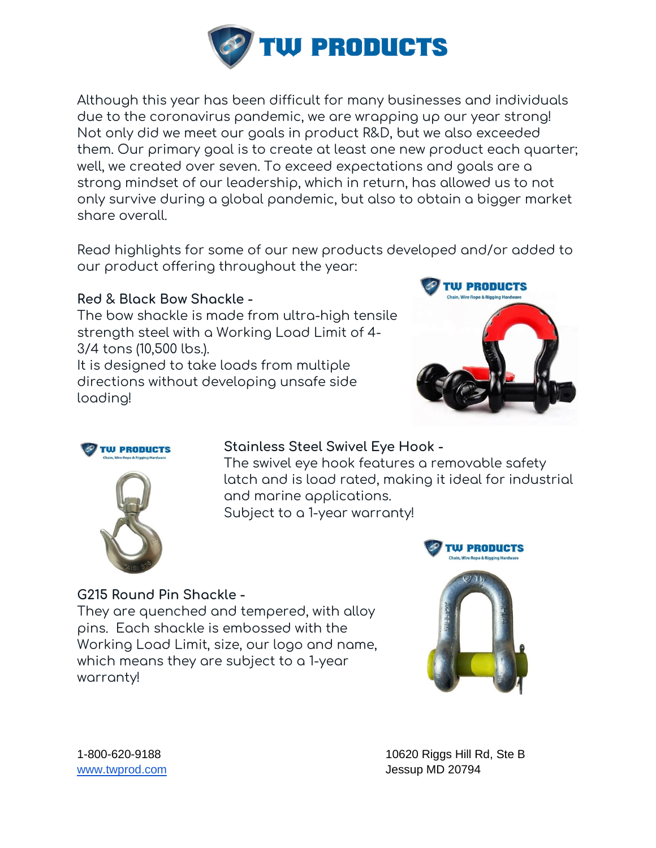

Although this year has been difficult for many businesses and individuals due to the coronavirus pandemic, we are wrapping up our year strong! Not only did we meet our goals in product R&D, but we also exceeded them. Our primary goal is to create at least one new product each quarter; well, we created over seven. To exceed expectations and goals are a strong mindset of our leadership, which in return, has allowed us to not only survive during a global pandemic, but also to obtain a bigger market share overall.

Read highlights for some of our new products developed and/or added to our product offering throughout the year:

# **Red & Black Bow Shackle -**

The bow shackle is made from ultra-high tensile strength steel with a Working Load Limit of 4- 3/4 tons (10,500 lbs.).

It is designed to take loads from multiple directions without developing unsafe side loading!





# **Stainless Steel Swivel Eye Hook -**

The swivel eye hook features a removable safety latch and is load rated, making it ideal for industrial and marine applications. Subject to a 1-year warranty!



# **G215 Round Pin Shackle -**

They are quenched and tempered, with alloy pins. Each shackle is embossed with the Working Load Limit, size, our logo and name, which means they are subject to a 1-year warranty!



1-800-620-9188 10620 Riggs Hill Rd, Ste B [www.twprod.com](http://www.twprod.com/) and the settlement of the settlement of the settlement of the settlement of the settlement of the settlement of the settlement of the settlement of the settlement of the settlement of the settlement of the s